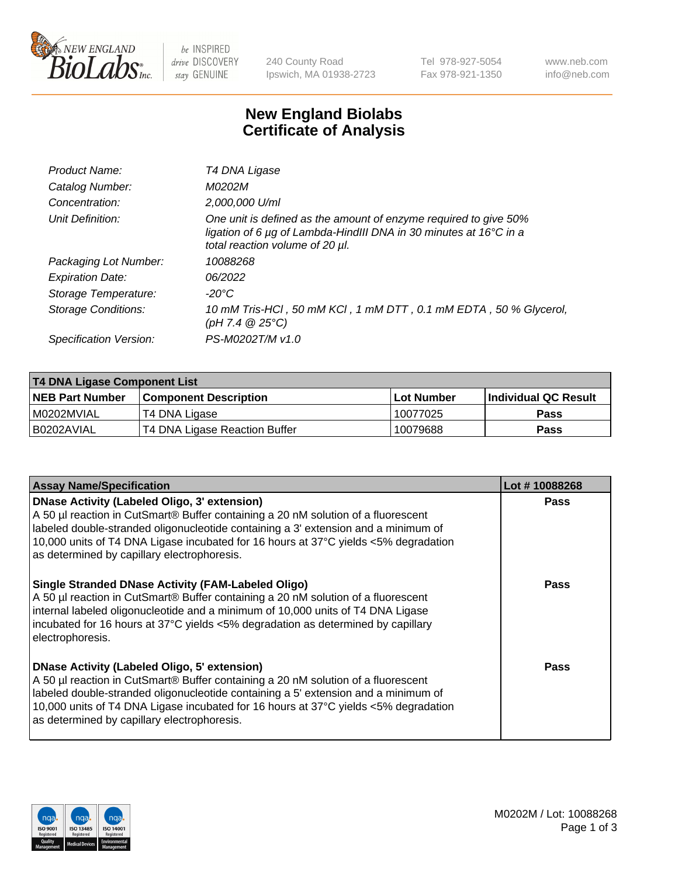

be INSPIRED drive DISCOVERY stay GENUINE

240 County Road Ipswich, MA 01938-2723 Tel 978-927-5054 Fax 978-921-1350 www.neb.com info@neb.com

## **New England Biolabs Certificate of Analysis**

| Product Name:              | T4 DNA Ligase                                                                                                                                                            |
|----------------------------|--------------------------------------------------------------------------------------------------------------------------------------------------------------------------|
| Catalog Number:            | M0202M                                                                                                                                                                   |
| Concentration:             | 2,000,000 U/ml                                                                                                                                                           |
| Unit Definition:           | One unit is defined as the amount of enzyme required to give 50%<br>ligation of 6 µg of Lambda-HindIII DNA in 30 minutes at 16°C in a<br>total reaction volume of 20 µl. |
| Packaging Lot Number:      | 10088268                                                                                                                                                                 |
| <b>Expiration Date:</b>    | 06/2022                                                                                                                                                                  |
| Storage Temperature:       | -20°C                                                                                                                                                                    |
| <b>Storage Conditions:</b> | 10 mM Tris-HCl, 50 mM KCl, 1 mM DTT, 0.1 mM EDTA, 50 % Glycerol,<br>(pH 7.4 $@25°C$ )                                                                                    |
| Specification Version:     | PS-M0202T/M v1.0                                                                                                                                                         |

| T4 DNA Ligase Component List |                               |            |                             |  |
|------------------------------|-------------------------------|------------|-----------------------------|--|
| <b>NEB Part Number</b>       | <b>Component Description</b>  | Lot Number | <b>Individual QC Result</b> |  |
| I M0202MVIAL                 | T4 DNA Ligase                 | 10077025   | Pass                        |  |
| I B0202AVIAL                 | T4 DNA Ligase Reaction Buffer | 10079688   | <b>Pass</b>                 |  |

| <b>Assay Name/Specification</b>                                                                                                                                                                                                                                                                                                                                      | Lot #10088268 |
|----------------------------------------------------------------------------------------------------------------------------------------------------------------------------------------------------------------------------------------------------------------------------------------------------------------------------------------------------------------------|---------------|
| <b>DNase Activity (Labeled Oligo, 3' extension)</b><br>A 50 µl reaction in CutSmart® Buffer containing a 20 nM solution of a fluorescent<br>labeled double-stranded oligonucleotide containing a 3' extension and a minimum of<br>10,000 units of T4 DNA Ligase incubated for 16 hours at 37°C yields <5% degradation<br>as determined by capillary electrophoresis. | <b>Pass</b>   |
| <b>Single Stranded DNase Activity (FAM-Labeled Oligo)</b><br>A 50 µl reaction in CutSmart® Buffer containing a 20 nM solution of a fluorescent<br>internal labeled oligonucleotide and a minimum of 10,000 units of T4 DNA Ligase<br>incubated for 16 hours at 37°C yields <5% degradation as determined by capillary<br>electrophoresis.                            | Pass          |
| <b>DNase Activity (Labeled Oligo, 5' extension)</b><br>A 50 µl reaction in CutSmart® Buffer containing a 20 nM solution of a fluorescent<br>labeled double-stranded oligonucleotide containing a 5' extension and a minimum of<br>10,000 units of T4 DNA Ligase incubated for 16 hours at 37°C yields <5% degradation<br>as determined by capillary electrophoresis. | Pass          |

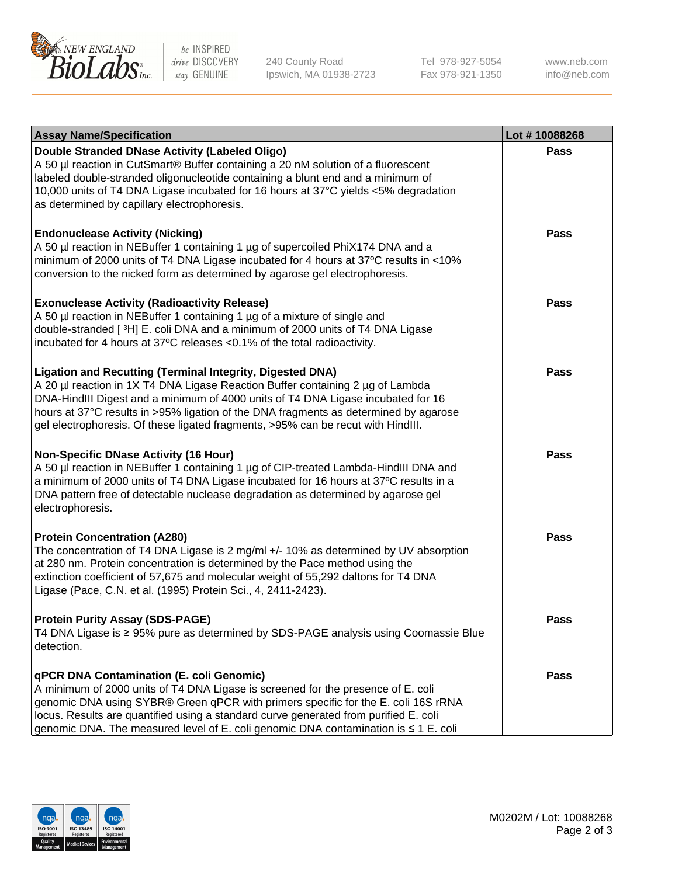

be INSPIRED drive DISCOVERY stay GENUINE

240 County Road Ipswich, MA 01938-2723 Tel 978-927-5054 Fax 978-921-1350 www.neb.com info@neb.com

| <b>Assay Name/Specification</b>                                                                                                                                                                                                                                                                                                                                                                                    | Lot #10088268 |
|--------------------------------------------------------------------------------------------------------------------------------------------------------------------------------------------------------------------------------------------------------------------------------------------------------------------------------------------------------------------------------------------------------------------|---------------|
| Double Stranded DNase Activity (Labeled Oligo)<br>A 50 µl reaction in CutSmart® Buffer containing a 20 nM solution of a fluorescent<br>labeled double-stranded oligonucleotide containing a blunt end and a minimum of<br>10,000 units of T4 DNA Ligase incubated for 16 hours at 37°C yields <5% degradation<br>as determined by capillary electrophoresis.                                                       | Pass          |
| <b>Endonuclease Activity (Nicking)</b><br>A 50 µl reaction in NEBuffer 1 containing 1 µg of supercoiled PhiX174 DNA and a<br>minimum of 2000 units of T4 DNA Ligase incubated for 4 hours at 37°C results in <10%<br>conversion to the nicked form as determined by agarose gel electrophoresis.                                                                                                                   | <b>Pass</b>   |
| <b>Exonuclease Activity (Radioactivity Release)</b><br>A 50 µl reaction in NEBuffer 1 containing 1 µg of a mixture of single and<br>double-stranded [3H] E. coli DNA and a minimum of 2000 units of T4 DNA Ligase<br>incubated for 4 hours at 37°C releases <0.1% of the total radioactivity.                                                                                                                      | <b>Pass</b>   |
| <b>Ligation and Recutting (Terminal Integrity, Digested DNA)</b><br>A 20 µl reaction in 1X T4 DNA Ligase Reaction Buffer containing 2 µg of Lambda<br>DNA-HindIII Digest and a minimum of 4000 units of T4 DNA Ligase incubated for 16<br>hours at 37°C results in >95% ligation of the DNA fragments as determined by agarose<br>gel electrophoresis. Of these ligated fragments, >95% can be recut with HindIII. | Pass          |
| <b>Non-Specific DNase Activity (16 Hour)</b><br>A 50 µl reaction in NEBuffer 1 containing 1 µg of CIP-treated Lambda-HindIII DNA and<br>a minimum of 2000 units of T4 DNA Ligase incubated for 16 hours at 37°C results in a<br>DNA pattern free of detectable nuclease degradation as determined by agarose gel<br>electrophoresis.                                                                               | <b>Pass</b>   |
| <b>Protein Concentration (A280)</b><br>The concentration of T4 DNA Ligase is 2 mg/ml +/- 10% as determined by UV absorption<br>at 280 nm. Protein concentration is determined by the Pace method using the<br>extinction coefficient of 57,675 and molecular weight of 55,292 daltons for T4 DNA<br>Ligase (Pace, C.N. et al. (1995) Protein Sci., 4, 2411-2423).                                                  | <b>Pass</b>   |
| <b>Protein Purity Assay (SDS-PAGE)</b><br>T4 DNA Ligase is ≥ 95% pure as determined by SDS-PAGE analysis using Coomassie Blue<br>detection.                                                                                                                                                                                                                                                                        | Pass          |
| qPCR DNA Contamination (E. coli Genomic)<br>A minimum of 2000 units of T4 DNA Ligase is screened for the presence of E. coli<br>genomic DNA using SYBR® Green qPCR with primers specific for the E. coli 16S rRNA<br>locus. Results are quantified using a standard curve generated from purified E. coli<br>genomic DNA. The measured level of E. coli genomic DNA contamination is ≤ 1 E. coli                   | <b>Pass</b>   |